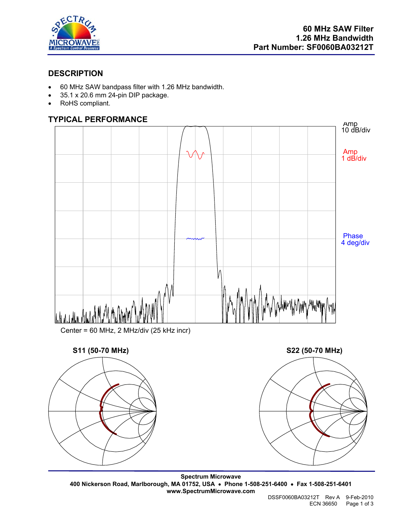

### **DESCRIPTION**

- 60 MHz SAW bandpass filter with 1.26 MHz bandwidth.
- 35.1 x 20.6 mm 24-pin DIP package.
- RoHS compliant.

# **TYPICAL PERFORMANCE**







**Spectrum Microwave 400 Nickerson Road, Marlborough, MA 01752, USA** • **Phone 1-508-251-6400** • **Fax 1-508-251-6401 www.SpectrumMicrowave.com**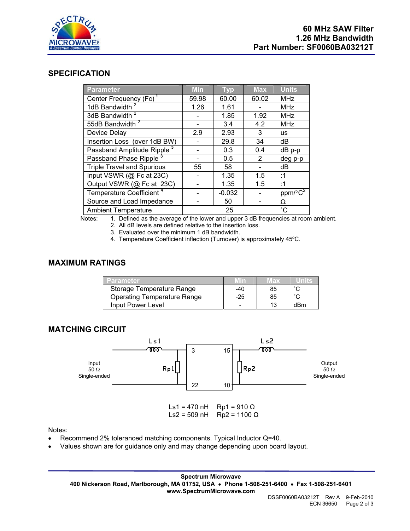

#### **SPECIFICATION**

| Parameter                              | <b>Min</b> | <b>Typ</b> | <b>Max</b> | <b>Units</b>    |
|----------------------------------------|------------|------------|------------|-----------------|
| Center Frequency (Fc) <sup>1</sup>     | 59.98      | 60.00      | 60.02      | <b>MHz</b>      |
| 1dB Bandwidth                          | 1.26       | 1.61       |            | <b>MHz</b>      |
| 3dB Bandwidth <sup>2</sup>             |            | 1.85       | 1.92       | <b>MHz</b>      |
| 55dB Bandwidth <sup>2</sup>            |            | 3.4        | 4.2        | <b>MHz</b>      |
| Device Delay                           | 2.9        | 2.93       | 3          | <b>us</b>       |
| Insertion Loss (over 1dB BW)           |            | 29.8       | 34         | dB              |
| Passband Amplitude Ripple <sup>3</sup> |            | 0.3        | 0.4        | dB p-p          |
| Passband Phase Ripple <sup>3</sup>     |            | 0.5        | 2          | deg p-p         |
| <b>Triple Travel and Spurious</b>      | 55         | 58         |            | dB              |
| Input VSWR (@ Fc at 23C)               |            | 1.35       | 1.5        | :1              |
| Output VSWR (@ Fc at 23C)              |            | 1.35       | 1.5        | :1              |
| Temperature Coefficient <sup>4</sup>   |            | $-0.032$   |            | $ppm/c^2$       |
| Source and Load Impedance              |            | 50         |            | Ω               |
| <b>Ambient Temperature</b>             |            | 25         |            | $\rm ^{\circ}C$ |

Notes: 1. Defined as the average of the lower and upper 3 dB frequencies at room ambient. 2. All dB levels are defined relative to the insertion loss.

3. Evaluated over the minimum 1 dB bandwidth.

4. Temperature Coefficient inflection (Turnover) is approximately 45ºC.

# **MAXIMUM RATINGS**

| <b>Parameter</b>                   |       | иах |                     |
|------------------------------------|-------|-----|---------------------|
| Storage Temperature Range          | -40   | 85  | $\hat{\phantom{a}}$ |
| <b>Operating Temperature Range</b> | $-25$ | 85  | $\hat{\phantom{a}}$ |
| Input Power Level                  | -     |     | dBm                 |

### **MATCHING CIRCUIT**



Notes:

- Recommend 2% toleranced matching components. Typical Inductor Q=40.
- Values shown are for guidance only and may change depending upon board layout.

**Spectrum Microwave 400 Nickerson Road, Marlborough, MA 01752, USA** • **Phone 1-508-251-6400** • **Fax 1-508-251-6401 www.SpectrumMicrowave.com**